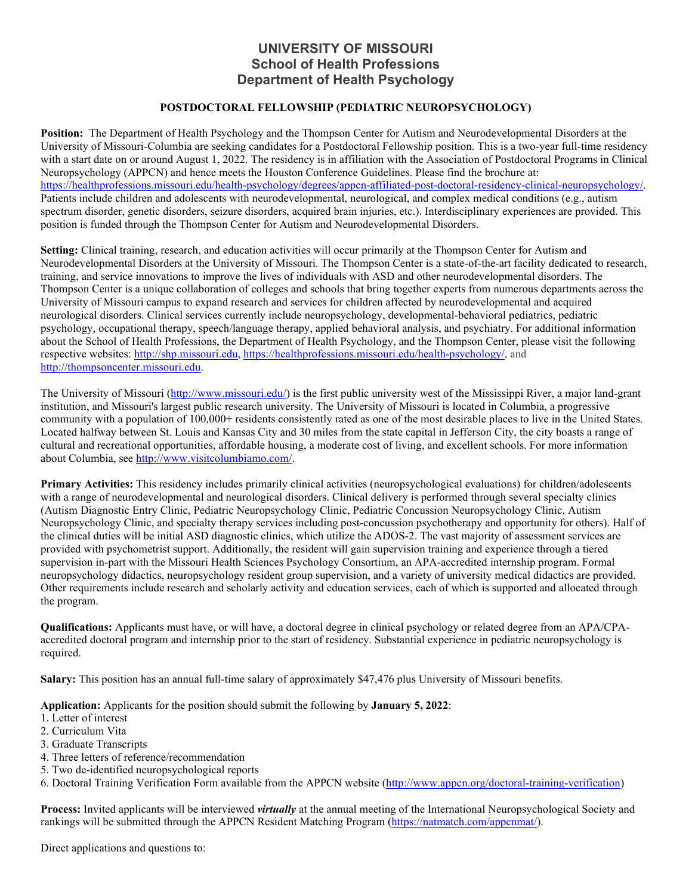## **UNIVERSITY OF MISSOURI School of Health Professions Department of Health Psychology**

## **POSTDOCTORAL FELLOWSHIP (PEDIATRIC NEUROPSYCHOLOGY)**

**Position:** The Department of Health Psychology and the Thompson Center for Autism and Neurodevelopmental Disorders at the University of Missouri-Columbia are seeking candidates for a Postdoctoral Fellowship position. This is a two-year full-time residency with a start date on or around August 1, 2022. The residency is in affiliation with the Association of Postdoctoral Programs in Clinical Neuropsychology (APPCN) and hence meets the Houston Conference Guidelines. Please find the brochure at: [https://healthprofessions.missouri.edu/health-psychology/degrees/appcn-affiliated-post-doctoral-residency-clinical-neuropsychology/.](https://healthprofessions.missouri.edu/health-psychology/degrees/appcn-affiliated-post-doctoral-residency-clinical-neuropsychology/) Patients include children and adolescents with neurodevelopmental, neurological, and complex medical conditions (e.g., autism spectrum disorder, genetic disorders, seizure disorders, acquired brain injuries, etc.). Interdisciplinary experiences are provided. This position is funded through the Thompson Center for Autism and Neurodevelopmental Disorders.

**Setting:** Clinical training, research, and education activities will occur primarily at the Thompson Center for Autism and Neurodevelopmental Disorders at the University of Missouri. The Thompson Center is a state-of-the-art facility dedicated to research, training, and service innovations to improve the lives of individuals with ASD and other neurodevelopmental disorders. The Thompson Center is a unique collaboration of colleges and schools that bring together experts from numerous departments across the University of Missouri campus to expand research and services for children affected by neurodevelopmental and acquired neurological disorders. Clinical services currently include neuropsychology, developmental-behavioral pediatrics, pediatric psychology, occupational therapy, speech/language therapy, applied behavioral analysis, and psychiatry. For additional information about the School of Health Professions, the Department of Health Psychology, and the Thompson Center, please visit the following respective websites: [http://shp.missouri.edu,](http://shp.missouri.edu/) [https://healthprofessions.missouri.edu/health-psychology/,](https://healthprofessions.missouri.edu/health-psychology/) and [http://thompsoncenter.missouri.edu.](http://thompsoncenter.missouri.edu/)

The University of Missouri [\(http://www.missouri.edu/\)](http://www.missouri.edu/) is the first public university west of the Mississippi River, a major land-grant institution, and Missouri's largest public research university. The University of Missouri is located in Columbia, a progressive community with a population of 100,000+ residents consistently rated as one of the most desirable places to live in the United States. Located halfway between St. Louis and Kansas City and 30 miles from the state capital in Jefferson City, the city boasts a range of cultural and recreational opportunities, affordable housing, a moderate cost of living, and excellent schools. For more information about Columbia, see [http://www.visitcolumbiamo.com/.](http://www.visitcolumbiamo.com/)

**Primary Activities:** This residency includes primarily clinical activities (neuropsychological evaluations) for children/adolescents with a range of neurodevelopmental and neurological disorders. Clinical delivery is performed through several specialty clinics (Autism Diagnostic Entry Clinic, Pediatric Neuropsychology Clinic, Pediatric Concussion Neuropsychology Clinic, Autism Neuropsychology Clinic, and specialty therapy services including post-concussion psychotherapy and opportunity for others). Half of the clinical duties will be initial ASD diagnostic clinics, which utilize the ADOS-2. The vast majority of assessment services are provided with psychometrist support. Additionally, the resident will gain supervision training and experience through a tiered supervision in-part with the Missouri Health Sciences Psychology Consortium, an APA-accredited internship program. Formal neuropsychology didactics, neuropsychology resident group supervision, and a variety of university medical didactics are provided. Other requirements include research and scholarly activity and education services, each of which is supported and allocated through the program.

**Qualifications:** Applicants must have, or will have, a doctoral degree in clinical psychology or related degree from an APA/CPAaccredited doctoral program and internship prior to the start of residency. Substantial experience in pediatric neuropsychology is required.

**Salary:** This position has an annual full-time salary of approximately \$47,476 plus University of Missouri benefits.

**Application:** Applicants for the position should submit the following by **January 5, 2022**:

- 1. Letter of interest
- 2. Curriculum Vita
- 3. Graduate Transcripts
- 4. Three letters of reference/recommendation
- 5. Two de-identified neuropsychological reports
- 6. Doctoral Training Verification Form available from the APPCN website [\(http://www.appcn.org/doctoral-training-verification\)](http://www.appcn.org/doctoral-training-verification)

**Process:** Invited applicants will be interviewed *virtually* at the annual meeting of the International Neuropsychological Society and rankings will be submitted through the APPCN Resident Matching Program [\(https://natmatch.com/appcnmat/\)](https://natmatch.com/appcnmat/).

Direct applications and questions to: